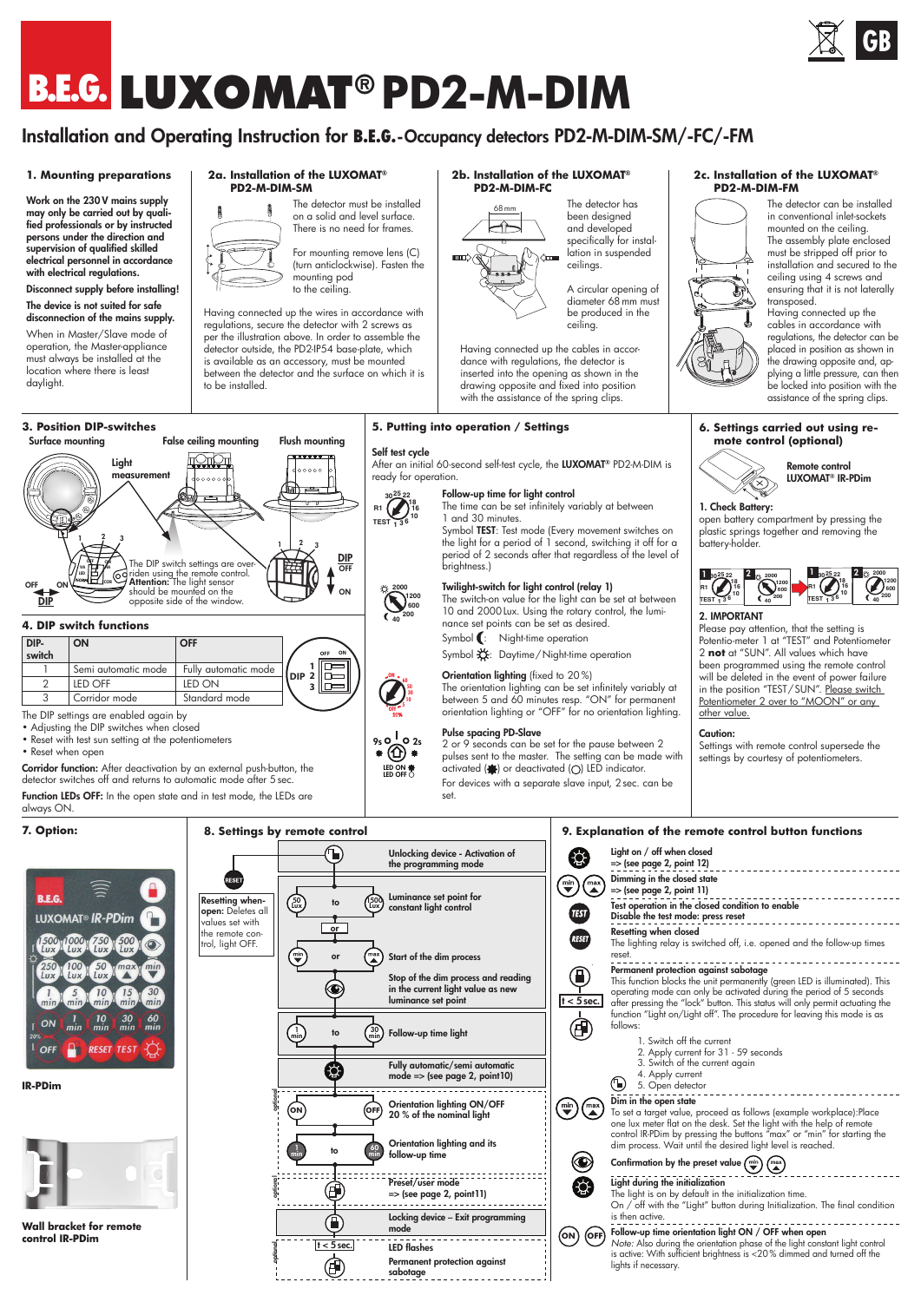# **LUXOMAT® PD2-M-DIM**

## Installation and Operating Instruction for **B.E.G.**-Occupancy detectors PD2-M-DIM-SM/-FC/-FM

#### **1. Mounting preparations**

Work on the 230 V mains supply may only be carried out by quali-<br>fied professionals or by instructed professionals or by instructed persons under the direction and supervision of qualified skilled electrical personnel in accordance with electrical regulations.

#### Disconnect supply before installing! The device is not suited for safe disconnection of the mains supply.

When in Master/Slave mode of operation, the Master-appliance must always be installed at the location where there is least daylight.

#### **3. Position DIP-switches** Surface mounting

 $1 \t 2 \t 3$ OFF ON VA LED HA

**Light** measurement

**4. DIP switch functions**

OFF ON DIP

DIPswitch

The DIP settings are enabled again by • Adjusting the DIP switches when closed • Reset with test sun setting at the potentiometers

ON OFF

2 LED OFF LED ON 3 Corridor mode Standard mode

#### **2a. Installation of the LUXOMAT® PD2-M-DIM-SM** The detector must be installed

False ceiling mounting Flush mounting

on a solid and level surface. There is no need for frames.

For mounting remove lens (C) (turn anticlockwise). Fasten the mounting pod to the ceiling.

Having connected up the wires in accordance with regulations, secure the detector with 2 screws as per the illustration above. In order to assemble the detector outside, the PD2-IP54 base-plate, which is available as an accessory, must be mounted between the detector and the surface on which it is to be installed.

1 2 3

 $00000$ 

**OFF ON**

卮 IĒ

ON OFF DIP

#### **2b. Installation of the LUXOMAT® PD2-M-DIM-FC**



The detector has been designed and developed specifically for installation in suspended ceilings.

A circular opening of diameter 68mm must be produced in the ceiling.

Having connected up the cables in accordance with regulations, the detector is inserted into the opening as shown in the drawing opposite and fixed into position with the assistance of the spring clips.

#### **5. Putting into operation / Settings**

#### Self test cycle

**25 22 18 16 <sup>10</sup> TEST <sup>1</sup> <sup>3</sup> <sup>6</sup> 30**  $R1$  **1 <sup>16</sup> <sup>10</sup> <sup>5</sup>**

**5**

After an initial 60-second self-test cycle, the LUXOMAT® PD2-M-DIM is ready for operation. **<sup>120</sup> 6050 40 A**

#### Follow-up time for light control

The time can be set infinitely variably at between 1 and 30 minutes.

Symbol TEST: Test mode (Every movement switches on the light for a period of 1 second, switching it off for a period of 2 seconds after that regardless of the level of brightness.)

#### Twilight-switch for light control (relay 1)

The switch-on value for the light can be set at between 10 and 2000Lux. Using the rotary control, the luminance set points can be set as desired.

Symbol : Night-time operation Symbol **义**: Daytime/Night-time operation

Orientation lighting (fixed to 20%) The orientation lighting can be set infinitely variably at between 5 and 60 minutes resp. "ON" for permanent orientation lighting or "OFF" for no orientation lighting.

Pulse spacing PD-Slave 2 or 9 seconds can be set for the pause between 2 pulses sent to the master. The setting can be made with activated  $\left(\bigoplus\right)$  or deactivated  $\left(\bigodot\right)$  LED indicator. For devices with a separate slave input, 2sec. can be set.

**2c. Installation of the LUXOMAT® PD2-M-DIM-FM**



The detector can be installed in conventional inlet-sockets mounted on the ceiling. The assembly plate enclosed must be stripped off prior to installation and secured to the ceiling using 4 screws and ensuring that it is not laterally transposed.

Having connected up the cables in accordance with regulations, the detector can be placed in position as shown in the drawing opposite and, ap-plying a little pressure, can then be locked into position with the assistance of the spring clips.





# LUXOMAT® IR-PDim

**<sup>15</sup> <sup>10</sup> 5** 1. Check Battery: **<sup>16</sup> <sup>10</sup> <sup>5</sup> 2** plastic springs together and removing the **<sup>1</sup> TEST <sup>15</sup> <sup>30</sup>** open battery compartment by pressing the battery-holder.



### 2. IMPORTANT

Please pay attention, that the setting is Potentio-meter 1 at "TEST" and Potentiometer 2 **not** at "SUN". All values which have been programmed using the remote control will be deleted in the event of power failure in the position "TEST / SUN". Please switch Potentiometer 2 over to "MOON" or any other value.

#### Caution:

Settings with remote control supersede the settings by courtesy of potentiometers.



• Reset when open Corridor function: After deactivation by an external push-button, the detector switches off and returns to automatic mode after 5 sec. Function LEDs OFF: In the open state and in test mode, the LEDs are

Semi automatic mode | Fully automatic mode

The DIP switch settings are over-<br>riden using the remote control.<br>**Attention:** The light sensor should be mounted on the opposite side of the window.

**IQIQI** 

dooooo

#### always ON.